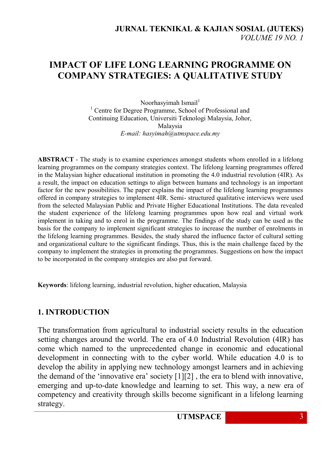# **IMPACT OF LIFE LONG LEARNING PROGRAMME ON COMPANY STRATEGIES: A QUALITATIVE STUDY**

Noorhasyimah Ismail $1$ <sup>1</sup> Centre for Degree Programme, School of Professional and Continuing Education, Universiti Teknologi Malaysia, Johor, Malaysia *E-mail: [hasyimah@utmspace.edu.my](mailto:hasyimah@utmspace.edu.my)*

**ABSTRACT** - The study is to examine experiences amongst students whom enrolled in a lifelong learning programmes on the company strategies context. The lifelong learning programmes offered in the Malaysian higher educational institution in promoting the 4.0 industrial revolution (4IR). As a result, the impact on education settings to align between humans and technology is an important factor for the new possibilities. The paper explains the impact of the lifelong learning programmes offered in company strategies to implement 4IR. Semi- structured qualitative interviews were used from the selected Malaysian Public and Private Higher Educational Institutions. The data revealed the student experience of the lifelong learning programmes upon how real and virtual work implement in taking and to enrol in the programme. The findings of the study can be used as the basis for the company to implement significant strategies to increase the number of enrolments in the lifelong learning programmes. Besides, the study shared the influence factor of cultural setting and organizational culture to the significant findings. Thus, this is the main challenge faced by the company to implement the strategies in promoting the programmes. Suggestions on how the impact to be incorporated in the company strategies are also put forward.

**Keywords**: lifelong learning, industrial revolution, higher education, Malaysia

# **1. INTRODUCTION**

The transformation from agricultural to industrial society results in the education setting changes around the world. The era of 4.0 Industrial Revolution (4IR) has come which named to the unprecedented change in economic and educational development in connecting with to the cyber world. While education 4.0 is to develop the ability in applying new technology amongst learners and in achieving the demand of the "innovative era" society [1][2] , the era to blend with innovative, emerging and up-to-date knowledge and learning to set. This way, a new era of competency and creativity through skills become significant in a lifelong learning strategy.

**UTMSPACE** 3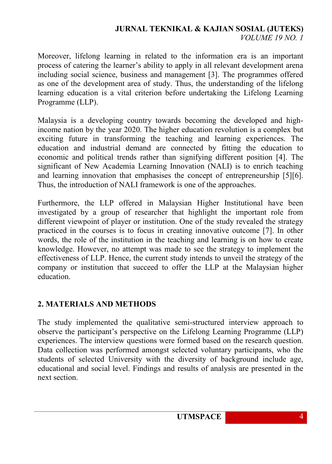### **JURNAL TEKNIKAL & KAJIAN SOSIAL (JUTEKS)** *VOLUME 19 NO. 1*

Moreover, lifelong learning in related to the information era is an important process of catering the learner"s ability to apply in all relevant development arena including social science, business and management [3]. The programmes offered as one of the development area of study. Thus, the understanding of the lifelong learning education is a vital criterion before undertaking the Lifelong Learning Programme (LLP).

Malaysia is a developing country towards becoming the developed and highincome nation by the year 2020. The higher education revolution is a complex but exciting future in transforming the teaching and learning experiences. The education and industrial demand are connected by fitting the education to economic and political trends rather than signifying different position [4]. The significant of New Academia Learning Innovation (NALI) is to enrich teaching and learning innovation that emphasises the concept of entrepreneurship [5][6]. Thus, the introduction of NALI framework is one of the approaches.

Furthermore, the LLP offered in Malaysian Higher Institutional have been investigated by a group of researcher that highlight the important role from different viewpoint of player or institution. One of the study revealed the strategy practiced in the courses is to focus in creating innovative outcome [7]. In other words, the role of the institution in the teaching and learning is on how to create knowledge. However, no attempt was made to see the strategy to implement the effectiveness of LLP. Hence, the current study intends to unveil the strategy of the company or institution that succeed to offer the LLP at the Malaysian higher education.

# **2. MATERIALS AND METHODS**

The study implemented the qualitative semi-structured interview approach to observe the participant"s perspective on the Lifelong Learning Programme (LLP) experiences. The interview questions were formed based on the research question. Data collection was performed amongst selected voluntary participants, who the students of selected University with the diversity of background include age, educational and social level. Findings and results of analysis are presented in the next section.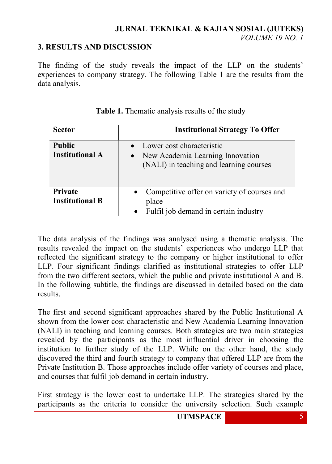### **3. RESULTS AND DISCUSSION**

The finding of the study reveals the impact of the LLP on the students' experiences to company strategy. The following Table 1 are the results from the data analysis.

| <b>Sector</b>                            | <b>Institutional Strategy To Offer</b>                                                                                |
|------------------------------------------|-----------------------------------------------------------------------------------------------------------------------|
| <b>Public</b><br><b>Institutional A</b>  | Lower cost characteristic<br>New Academia Learning Innovation<br>$\bullet$<br>(NALI) in teaching and learning courses |
| <b>Private</b><br><b>Institutional B</b> | Competitive offer on variety of courses and<br>place<br>Fulfil job demand in certain industry<br>$\bullet$            |

**Table 1.** Thematic analysis results of the study

The data analysis of the findings was analysed using a thematic analysis. The results revealed the impact on the students" experiences who undergo LLP that reflected the significant strategy to the company or higher institutional to offer LLP. Four significant findings clarified as institutional strategies to offer LLP from the two different sectors, which the public and private institutional A and B. In the following subtitle, the findings are discussed in detailed based on the data results.

The first and second significant approaches shared by the Public Institutional A shown from the lower cost characteristic and New Academia Learning Innovation (NALI) in teaching and learning courses. Both strategies are two main strategies revealed by the participants as the most influential driver in choosing the institution to further study of the LLP. While on the other hand, the study discovered the third and fourth strategy to company that offered LLP are from the Private Institution B. Those approaches include offer variety of courses and place, and courses that fulfil job demand in certain industry.

First strategy is the lower cost to undertake LLP. The strategies shared by the participants as the criteria to consider the university selection. Such example

**UTMSPACE** 5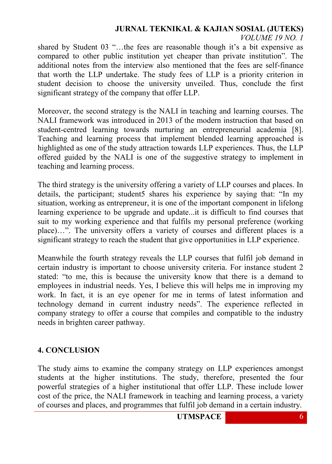#### **JURNAL TEKNIKAL & KAJIAN SOSIAL (JUTEKS)** *VOLUME 19 NO. 1*

shared by Student 03 "...the fees are reasonable though it's a bit expensive as compared to other public institution yet cheaper than private institution". The additional notes from the interview also mentioned that the fees are self-finance that worth the LLP undertake. The study fees of LLP is a priority criterion in student decision to choose the university unveiled. Thus, conclude the first significant strategy of the company that offer LLP.

Moreover, the second strategy is the NALI in teaching and learning courses. The NALI framework was introduced in 2013 of the modern instruction that based on student-centred learning towards nurturing an entrepreneurial academia [8]. Teaching and learning process that implement blended learning approached is highlighted as one of the study attraction towards LLP experiences. Thus, the LLP offered guided by the NALI is one of the suggestive strategy to implement in teaching and learning process.

The third strategy is the university offering a variety of LLP courses and places. In details, the participant; student5 shares his experience by saying that: "In my situation, working as entrepreneur, it is one of the important component in lifelong learning experience to be upgrade and update...it is difficult to find courses that suit to my working experience and that fulfils my personal preference (working place)…". The university offers a variety of courses and different places is a significant strategy to reach the student that give opportunities in LLP experience.

Meanwhile the fourth strategy reveals the LLP courses that fulfil job demand in certain industry is important to choose university criteria. For instance student 2 stated: "to me, this is because the university know that there is a demand to employees in industrial needs. Yes, I believe this will helps me in improving my work. In fact, it is an eye opener for me in terms of latest information and technology demand in current industry needs". The experience reflected in company strategy to offer a course that compiles and compatible to the industry needs in brighten career pathway.

### **4. CONCLUSION**

The study aims to examine the company strategy on LLP experiences amongst students at the higher institutions. The study, therefore, presented the four powerful strategies of a higher institutional that offer LLP. These include lower cost of the price, the NALI framework in teaching and learning process, a variety of courses and places, and programmes that fulfil job demand in a certain industry.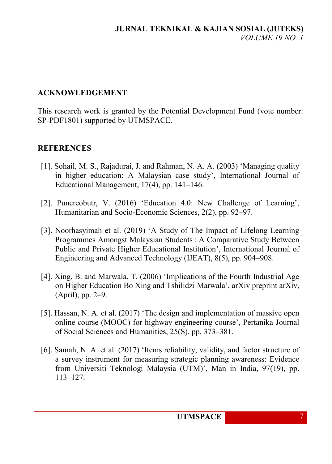# **ACKNOWLEDGEMENT**

This research work is granted by the Potential Development Fund (vote number: SP-PDF1801) supported by UTMSPACE.

# **REFERENCES**

- [1]. Sohail, M. S., Rajadurai, J. and Rahman, N. A. A. (2003) "Managing quality in higher education: A Malaysian case study", International Journal of Educational Management, 17(4), pp. 141–146.
- [2]. Puncreobutr, V. (2016) "Education 4.0: New Challenge of Learning", Humanitarian and Socio-Economic Sciences, 2(2), pp. 92–97.
- [3]. Noorhasyimah et al. (2019) "A Study of The Impact of Lifelong Learning Programmes Amongst Malaysian Students : A Comparative Study Between Public and Private Higher Educational Institution", International Journal of Engineering and Advanced Technology (IJEAT), 8(5), pp. 904–908.
- [4]. Xing, B. and Marwala, T. (2006) "Implications of the Fourth Industrial Age on Higher Education Bo Xing and Tshilidzi Marwala", arXiv preprint arXiv, (April), pp. 2–9.
- [5]. Hassan, N. A. et al. (2017) "The design and implementation of massive open online course (MOOC) for highway engineering course", Pertanika Journal of Social Sciences and Humanities, 25(S), pp. 373–381.
- [6]. Samah, N. A. et al. (2017) "Items reliability, validity, and factor structure of a survey instrument for measuring strategic planning awareness: Evidence from Universiti Teknologi Malaysia (UTM)', Man in India, 97(19), pp. 113–127.